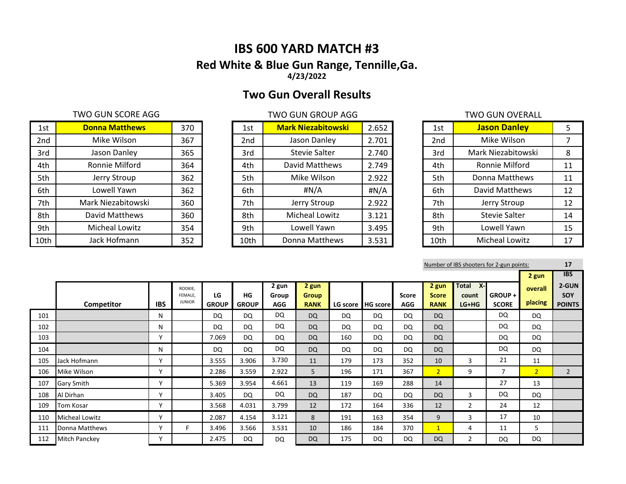# **IBS 600 YARD MATCH #3 Red White & Blue Gun Range, Tennille,Ga. 4/23/2022**

# **Two Gun Overall Results**

# TWO GUN SCORE AGG TWO GUN GROUP AGG TWO GUN GROUP AGG

| 1st  | <b>Donna Matthews</b> | 370 | 1st             | <b>Mark Niezabitowski</b> | 2.652 | 1st             | <b>Jason Danley</b>   | 5  |
|------|-----------------------|-----|-----------------|---------------------------|-------|-----------------|-----------------------|----|
| 2nd  | Mike Wilson           | 367 | 2 <sub>nd</sub> | Jason Danley              | 2.701 | 2 <sub>nd</sub> | Mike Wilson           |    |
| 3rd  | Jason Danley          | 365 | 3rd             | <b>Stevie Salter</b>      | 2.740 | 3rd             | Mark Niezabitowski    | 8  |
| 4th  | Ronnie Milford        | 364 | 4th             | David Matthews            | 2.749 | 4th             | Ronnie Milford        | 11 |
| 5th  | Jerry Stroup          | 362 | 5th             | Mike Wilson               | 2.922 | 5th             | Donna Matthews        | 11 |
| 6th  | Lowell Yawn           | 362 | 6th             | #N/A                      | #N/A  | 6th             | David Matthews        | 12 |
| 7th  | Mark Niezabitowski    | 360 | 7th             | Jerry Stroup              | 2.922 | 7th             | Jerry Stroup          | 12 |
| 8th  | David Matthews        | 360 | 8th             | <b>Micheal Lowitz</b>     | 3.121 | 8th             | <b>Stevie Salter</b>  | 14 |
| 9th  | Micheal Lowitz        | 354 | 9th             | Lowell Yawn               | 3.495 | 9th             | Lowell Yawn           | 15 |
| 10th | Jack Hofmann          | 352 | 10th            | Donna Matthews            | 3.531 | 10th            | <b>Micheal Lowitz</b> | 17 |

| 1st             | <b>Mark Niezabitowski</b> | 2.652 |
|-----------------|---------------------------|-------|
| 2 <sub>nd</sub> | Jason Danley              | 2.701 |
| 3rd             | <b>Stevie Salter</b>      | 2.740 |
| 4th             | David Matthews            | 2.749 |
| 5th             | Mike Wilson               | 2.922 |
| 6th             | #N/A                      | #N/A  |
| 7th             | Jerry Stroup              | 2.922 |
| 8th             | <b>Micheal Lowitz</b>     | 3.121 |
| 9th             | Lowell Yawn               | 3.495 |
| 10th            | Donna Matthews            | 3.531 |

# **Jason Danley**

| 1st             | <b>Jason Danley</b>   | 5  |
|-----------------|-----------------------|----|
| 2 <sub>nd</sub> | Mike Wilson           | 7  |
| 3rd             | Mark Niezabitowski    | 8  |
| 4th             | Ronnie Milford        | 11 |
| 5th             | Donna Matthews        | 11 |
| 6th             | David Matthews        | 12 |
| 7th             | Jerry Stroup          | 12 |
| 8th             | Stevie Salter         | 14 |
| 9th             | Lowell Yawn           | 15 |
| 10th            | <b>Micheal Lowitz</b> | 17 |

Number of IBS shooters for 2-gun points: **17**

|     |                       |              |                          |                    |                    |                     |                      |     |                   |                            |                             |                  |                         | 2 gun          | <b>IBS</b>           |
|-----|-----------------------|--------------|--------------------------|--------------------|--------------------|---------------------|----------------------|-----|-------------------|----------------------------|-----------------------------|------------------|-------------------------|----------------|----------------------|
|     |                       |              | ROOKIE.                  |                    |                    | 2 gun               | 2 gun                |     |                   |                            | 2 gun                       | $X-I$<br>Total   |                         | overall        | 2-GUN                |
|     | Competitor            | <b>IBS</b>   | FEMALE.<br><b>JUNIOR</b> | LG<br><b>GROUP</b> | HG<br><b>GROUP</b> | Group<br><b>AGG</b> | Group<br><b>RANK</b> |     | LG score HG score | <b>Score</b><br><b>AGG</b> | <b>Score</b><br><b>RANK</b> | count<br>$LG+HG$ | GROUP +<br><b>SCORE</b> | placing        | SOY<br><b>POINTS</b> |
|     |                       |              |                          |                    |                    |                     |                      |     |                   |                            |                             |                  |                         |                |                      |
| 101 |                       | N            |                          | DQ                 | DQ                 | <b>DQ</b>           | <b>DQ</b>            | DQ  | <b>DQ</b>         | DQ                         | <b>DQ</b>                   |                  | <b>DQ</b>               | <b>DQ</b>      |                      |
| 102 |                       | N            |                          | DQ                 | DQ                 | <b>DQ</b>           | <b>DQ</b>            | DQ  | <b>DQ</b>         | DQ                         | <b>DQ</b>                   |                  | <b>DQ</b>               | <b>DQ</b>      |                      |
| 103 |                       | $\mathbf{v}$ |                          | 7.069              | DQ                 | <b>DQ</b>           | <b>DQ</b>            | 160 | DQ.               | DQ                         | <b>DQ</b>                   |                  | <b>DQ</b>               | <b>DQ</b>      |                      |
| 104 |                       | N            |                          | DQ                 | <b>DQ</b>          | <b>DQ</b>           | <b>DQ</b>            | DQ  | DQ.               | DQ                         | <b>DQ</b>                   |                  | <b>DQ</b>               | <b>DQ</b>      |                      |
| 105 | Jack Hofmann          | $\mathbf{v}$ |                          | 3.555              | 3.906              | 3.730               | 11                   | 179 | 173               | 352                        | 10                          | 3                | 21                      | 11             |                      |
| 106 | Mike Wilson           | $\checkmark$ |                          | 2.286              | 3.559              | 2.922               | 5                    | 196 | 171               | 367                        | 2 <sup>1</sup>              | 9                | 7                       | $\overline{2}$ | $\overline{2}$       |
| 107 | <b>Gary Smith</b>     | $\mathbf v$  |                          | 5.369              | 3.954              | 4.661               | 13                   | 119 | 169               | 288                        | 14                          |                  | 27                      | 13             |                      |
| 108 | Al Dirhan             | $\mathbf v$  |                          | 3.405              | DQ                 | DQ                  | <b>DQ</b>            | 187 | <b>DQ</b>         | DQ                         | <b>DQ</b>                   | 3                | <b>DQ</b>               | <b>DQ</b>      |                      |
| 109 | Tom Kosar             | $\mathbf{v}$ |                          | 3.568              | 4.031              | 3.799               | 12                   | 172 | 164               | 336                        | 12                          | $\overline{2}$   | 24                      | 12             |                      |
| 110 | <b>Micheal Lowitz</b> | $\mathbf v$  |                          | 2.087              | 4.154              | 3.121               | 8                    | 191 | 163               | 354                        | 9                           | 3                | 17                      | 10             |                      |
| 111 | Donna Matthews        | $\mathbf v$  |                          | 3.496              | 3.566              | 3.531               | 10                   | 186 | 184               | 370                        | $\mathbf{1}$                | 4                | 11                      | 5              |                      |
| 112 | <b>Mitch Panckey</b>  | $\checkmark$ |                          | 2.475              | DQ                 | <b>DQ</b>           | <b>DQ</b>            | 175 | <b>DQ</b>         | DQ                         | <b>DQ</b>                   | $\overline{2}$   | <b>DQ</b>               | <b>DQ</b>      |                      |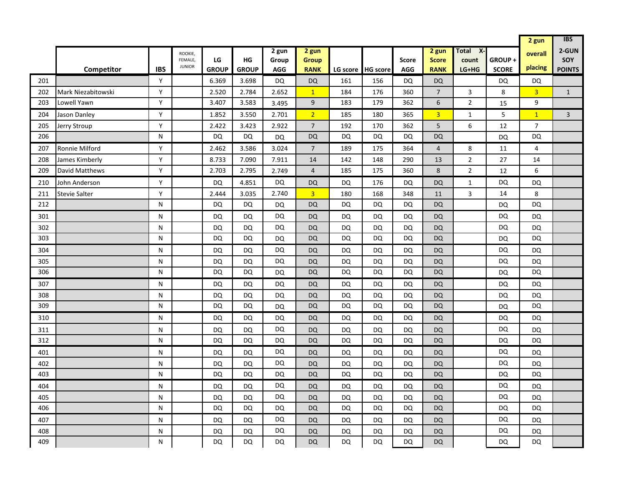|     |                      |            |                                     |                    |                    |                              |                                      |           |                   |                            |                                      |                                 |                        | 2 gun              | <b>IBS</b>                    |
|-----|----------------------|------------|-------------------------------------|--------------------|--------------------|------------------------------|--------------------------------------|-----------|-------------------|----------------------------|--------------------------------------|---------------------------------|------------------------|--------------------|-------------------------------|
|     | <b>Competitor</b>    | <b>IBS</b> | ROOKIE,<br>FEMALE,<br><b>JUNIOR</b> | LG<br><b>GROUP</b> | HG<br><b>GROUP</b> | 2 gun<br>Group<br><b>AGG</b> | 2 gun<br><b>Group</b><br><b>RANK</b> |           | LG score HG score | <b>Score</b><br><b>AGG</b> | 2 gun<br><b>Score</b><br><b>RANK</b> | Total<br>X-<br>count<br>$LG+HG$ | GROUP+<br><b>SCORE</b> | overall<br>placing | 2-GUN<br>SOY<br><b>POINTS</b> |
| 201 |                      | Y          |                                     | 6.369              | 3.698              | DQ                           | <b>DQ</b>                            | 161       | 156               | DQ                         | <b>DQ</b>                            |                                 | DQ                     | DQ                 |                               |
| 202 | Mark Niezabitowski   | Y          |                                     | 2.520              | 2.784              | 2.652                        | $\mathbf{1}$                         | 184       | 176               | 360                        | $\overline{7}$                       | $\overline{3}$                  | 8                      | $\overline{3}$     | $\mathbf{1}$                  |
| 203 | Lowell Yawn          | Y          |                                     | 3.407              | 3.583              | 3.495                        | 9                                    | 183       | 179               | 362                        | 6                                    | $\overline{2}$                  | 15                     | 9                  |                               |
| 204 | Jason Danley         | Y          |                                     | 1.852              | 3.550              | 2.701                        | $\overline{2}$                       | 185       | 180               | 365                        | 3 <sup>1</sup>                       | $\mathbf{1}$                    | 5                      | $\mathbf{1}$       | $\overline{3}$                |
| 205 | Jerry Stroup         | Y          |                                     | 2.422              | 3.423              | 2.922                        | $\overline{7}$                       | 192       | 170               | 362                        | 5                                    | 6                               | 12                     | $\overline{7}$     |                               |
| 206 |                      | N          |                                     | <b>DQ</b>          | <b>DQ</b>          | DQ                           | <b>DQ</b>                            | <b>DQ</b> | <b>DQ</b>         | DQ                         | <b>DQ</b>                            |                                 | DQ                     | <b>DQ</b>          |                               |
| 207 | Ronnie Milford       | Y          |                                     | 2.462              | 3.586              | 3.024                        | $\overline{7}$                       | 189       | 175               | 364                        | $\overline{4}$                       | 8                               | 11                     | 4                  |                               |
| 208 | James Kimberly       | Y          |                                     | 8.733              | 7.090              | 7.911                        | 14                                   | 142       | 148               | 290                        | 13                                   | $\sqrt{2}$                      | 27                     | 14                 |                               |
| 209 | David Matthews       | Y          |                                     | 2.703              | 2.795              | 2.749                        | $\overline{4}$                       | 185       | 175               | 360                        | 8                                    | $\overline{2}$                  | 12                     | 6                  |                               |
| 210 | John Anderson        | Y          |                                     | DQ                 | 4.851              | DQ                           | <b>DQ</b>                            | <b>DQ</b> | 176               | DQ                         | <b>DQ</b>                            | $\mathbf{1}$                    | DQ                     | DQ                 |                               |
| 211 | <b>Stevie Salter</b> | Y          |                                     | 2.444              | 3.035              | 2.740                        | $\overline{3}$                       | 180       | 168               | 348                        | 11                                   | $\overline{3}$                  | 14                     | 8                  |                               |
| 212 |                      | N          |                                     | <b>DQ</b>          | <b>DQ</b>          | DQ                           | <b>DQ</b>                            | <b>DQ</b> | <b>DQ</b>         | <b>DQ</b>                  | <b>DQ</b>                            |                                 | <b>DQ</b>              | DQ                 |                               |
| 301 |                      | N          |                                     | DQ                 | DQ                 | DQ                           | <b>DQ</b>                            | DQ        | DQ                | DQ                         | <b>DQ</b>                            |                                 | DQ                     | DQ                 |                               |
| 302 |                      | N          |                                     | DQ                 | DQ                 | DQ                           | <b>DQ</b>                            | DQ        | DQ                | DQ                         | <b>DQ</b>                            |                                 | DQ                     | DQ                 |                               |
| 303 |                      | N          |                                     | <b>DQ</b>          | DQ                 | DQ                           | <b>DQ</b>                            | DQ        | DQ                | <b>DQ</b>                  | <b>DQ</b>                            |                                 | <b>DQ</b>              | DQ                 |                               |
| 304 |                      | N          |                                     | DQ                 | DQ                 | DQ                           | <b>DQ</b>                            | <b>DQ</b> | DQ                | <b>DQ</b>                  | <b>DQ</b>                            |                                 | DQ                     | DQ                 |                               |
| 305 |                      | N          |                                     | DQ                 | <b>DQ</b>          | DQ                           | <b>DQ</b>                            | DQ        | DQ                | <b>DQ</b>                  | <b>DQ</b>                            |                                 | DQ                     | DQ                 |                               |
| 306 |                      | N          |                                     | DQ                 | <b>DQ</b>          | <b>DQ</b>                    | <b>DQ</b>                            | <b>DQ</b> | DQ                | <b>DQ</b>                  | <b>DQ</b>                            |                                 | <b>DQ</b>              | DQ                 |                               |
| 307 |                      | N          |                                     | <b>DQ</b>          | DQ                 | DQ                           | <b>DQ</b>                            | <b>DQ</b> | DQ                | <b>DQ</b>                  | <b>DQ</b>                            |                                 | DQ                     | DQ                 |                               |
| 308 |                      | N          |                                     | DQ                 | <b>DQ</b>          | DQ                           | <b>DQ</b>                            | <b>DQ</b> | DQ                | <b>DQ</b>                  | <b>DQ</b>                            |                                 | DQ                     | DQ                 |                               |
| 309 |                      | N          |                                     | DQ                 | DQ                 | <b>DQ</b>                    | DQ                                   | DQ        | DQ                | <b>DQ</b>                  | DQ                                   |                                 | DQ                     | DQ                 |                               |
| 310 |                      | N          |                                     | DQ                 | <b>DQ</b>          | <b>DQ</b>                    | <b>DQ</b>                            | DQ        | DQ                | <b>DQ</b>                  | <b>DQ</b>                            |                                 | <b>DQ</b>              | DQ                 |                               |
| 311 |                      | N          |                                     | DQ                 | DQ                 | DQ                           | <b>DQ</b>                            | <b>DQ</b> | DQ                | DQ                         | <b>DQ</b>                            |                                 | DQ                     | DQ                 |                               |
| 312 |                      | N          |                                     | DQ                 | DQ                 | DQ                           | <b>DQ</b>                            | <b>DQ</b> | DQ                | <b>DQ</b>                  | <b>DQ</b>                            |                                 | DQ                     | DQ                 |                               |
| 401 |                      | N          |                                     | DQ                 | DQ                 | <b>DQ</b>                    | <b>DQ</b>                            | <b>DQ</b> | DQ                | <b>DQ</b>                  | <b>DQ</b>                            |                                 | <b>DQ</b>              | DQ                 |                               |
| 402 |                      | N          |                                     | DQ                 | <b>DQ</b>          | <b>DQ</b>                    | <b>DQ</b>                            | <b>DQ</b> | <b>DQ</b>         | <b>DQ</b>                  | <b>DQ</b>                            |                                 | DQ                     | DQ                 |                               |
| 403 |                      | N          |                                     | DQ                 | <b>DQ</b>          | DQ                           | <b>DQ</b>                            | DQ        | DQ                | <b>DQ</b>                  | <b>DQ</b>                            |                                 | DQ                     | DQ                 |                               |
| 404 |                      | N          |                                     | <b>DQ</b>          | DQ                 | DQ                           | DQ                                   | <b>DQ</b> | DQ                | DQ                         | DQ                                   |                                 | <b>DQ</b>              | DQ                 |                               |
| 405 |                      | N          |                                     | DQ                 | DQ                 | DQ                           | <b>DQ</b>                            | <b>DQ</b> | DQ                | <b>DQ</b>                  | <b>DQ</b>                            |                                 | DQ                     | DQ                 |                               |
| 406 |                      | N          |                                     | DQ                 | DQ                 | DQ                           | <b>DQ</b>                            | DQ        | DQ                | <b>DQ</b>                  | <b>DQ</b>                            |                                 | DQ                     | DQ                 |                               |
| 407 |                      | N          |                                     | DQ                 | DQ                 | DQ                           | <b>DQ</b>                            | DQ        | DQ                | DQ                         | <b>DQ</b>                            |                                 | DQ                     | DQ                 |                               |
| 408 |                      | N          |                                     | DQ                 | DQ                 | <b>DQ</b>                    | <b>DQ</b>                            | DQ        | DQ                | DQ                         | <b>DQ</b>                            |                                 | <b>DQ</b>              | DQ                 |                               |
| 409 |                      | N          |                                     | <b>DQ</b>          | DQ                 | DQ                           | <b>DQ</b>                            | DQ        | DQ                | <b>DQ</b>                  | <b>DQ</b>                            |                                 | DQ                     | <b>DQ</b>          |                               |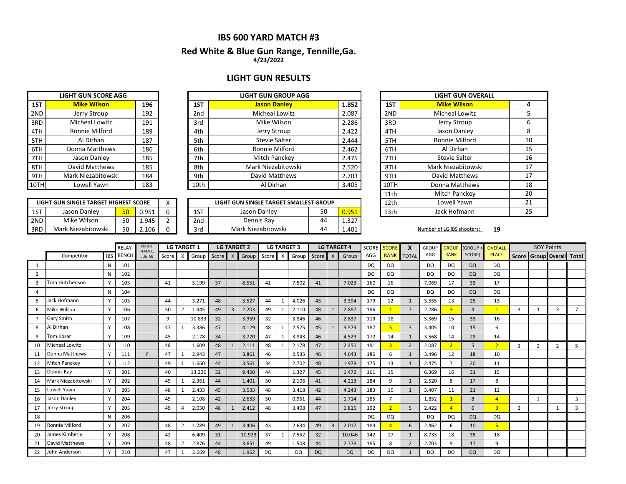# **IBS 600 YARD MATCH #3**

### **4/23/2022 Red White & Blue Gun Range, Tennille,Ga.**

# **LIGHT GUN RESULTS**

**LIGHT GUN GROUP AGG** 

|      | <b>LIGHT GUN SCORE AGG</b> |     |
|------|----------------------------|-----|
| 1ST  | <b>Mike Wilson</b>         | 196 |
| 2ND  | Jerry Stroup               | 192 |
| 3RD  | Micheal Lowitz             | 191 |
| 4TH  | Ronnie Milford             | 189 |
| 5TH  | Al Dirhan                  | 187 |
| 6TH  | Donna Matthews             | 186 |
| 7TH  | Jason Danley               | 185 |
| 8TH  | David Matthews             | 185 |
| 9TH  | Mark Niezabitowski         | 184 |
| 10TH | Lowell Yawn                | 183 |

| 1ST  | <b>Mike Wilson</b>    | 196 | 1ST             | <b>Jason Danley</b>   | 1.852 | 1ST  | <b>Mike Wilson</b>      |
|------|-----------------------|-----|-----------------|-----------------------|-------|------|-------------------------|
| 2ND  | Jerry Stroup          | 192 | 2 <sub>nd</sub> | <b>Micheal Lowitz</b> | 2.087 | 2ND  | <b>Micheal Lowitz</b>   |
| 3RD  | <b>Micheal Lowitz</b> | 191 | 3rd             | Mike Wilson           | 2.286 | 3RD  | Jerry Stroup            |
| 4TH  | Ronnie Milford        | 189 | 4th             | Jerry Stroup          | 2.422 | 4TH  | Jason Danley            |
| 5TH  | Al Dirhan             | 187 | 5th             | Stevie Salter         | 2.444 | 5TH  | Ronnie Milford          |
| 6TH  | Donna Matthews        | 186 | 6th             | Ronnie Milford        | 2.462 | 6TH  | Al Dirhan               |
| 7TH  | Jason Danley          | 185 | 7th             | Mitch Panckey         | 2.475 | 7TH  | <b>Stevie Salter</b>    |
| 8TH  | David Matthews        | 185 | 8th             | Mark Niezabitowski    | 2.520 | 8TH  | <b>Mark Niezabitows</b> |
| 9TH  | Mark Niezabitowski    | 184 | 9th             | David Matthews        | 2.703 | 9TH  | David Matthews          |
| 10TH | Lowell Yawn           | 183 | 10th            | Al Dirhan             | 3.405 | 10TH | Donna Matthews          |

|     | LIGHT GUN SINGLE TARGET HIGHEST SCORE |    |       |                 | LIGHT GUN SINGLE TARGET SMALLEST GROUP |    |       | 12th | Lowell Yawn                |    |
|-----|---------------------------------------|----|-------|-----------------|----------------------------------------|----|-------|------|----------------------------|----|
| 1ST | Jason Danley                          | 50 | 0.951 | 1ST             | Jason Danlev                           | 50 | 0.951 | 13th | Jack Hofmann               |    |
| 2ND | Mike Wilson                           | 50 | 1.945 | 2 <sub>nd</sub> | Dennis Rav                             | 44 | 1.327 |      |                            |    |
| 3RD | Mark Niezabitowski                    | 50 | 2.106 | 3rd             | Mark Niezabitowski                     | 44 | 1.401 |      | Number of LG IBS shooters: | 19 |

|      | <b>LIGHT GUN OVERALL</b> |    |
|------|--------------------------|----|
| 1ST  | <b>Mike Wilson</b>       | 4  |
| 2ND  | <b>Micheal Lowitz</b>    | 5  |
| 3RD  | Jerry Stroup             | 6  |
| 4TH  | Jason Danley             | 8  |
| 5TH  | Ronnie Milford           | 10 |
| 6TH  | Al Dirhan                | 15 |
| 7TH  | <b>Stevie Salter</b>     | 16 |
| 8TH  | Mark Niezabitowski       | 17 |
| 9TH  | David Matthews           | 17 |
| 10TH | Donna Matthews           | 18 |
| 11th | Mitch Panckey            | 20 |
| 12th | Lowell Yawn              | 21 |
| 13th | Jack Hofmann             | 25 |

|                |                       |            | <b>RELAY</b> | ROOKIE,<br>FEMALE, |       |                          | <b>LG TARGET 1</b> |       | <b>LG TARGET 2</b><br><b>LG TARGET 3</b> |       |                   |           |       | <b>LG TARGET 4</b> | SCORE                  | <b>SCORE</b> | $\mathbf{x}$ | <b>GROUP</b>   | <b>GROUP</b>   | <b>GROUP +</b> | OVERALL        |                       | <b>SOY Points</b> |                |                     |                |                |
|----------------|-----------------------|------------|--------------|--------------------|-------|--------------------------|--------------------|-------|------------------------------------------|-------|-------------------|-----------|-------|--------------------|------------------------|--------------|--------------|----------------|----------------|----------------|----------------|-----------------------|-------------------|----------------|---------------------|----------------|----------------|
|                | Competitor            | <b>IBS</b> | <b>BENCH</b> | <b>JUNIOR</b>      | Score | $\mathsf{x}$             | Group              | Score | $\mathsf{X}$                             | Group | $\times$<br>Score |           | Group | Score              | $\mathsf{X}$           | Group        | AGG          | <b>RANK</b>    | <b>TOTAL</b>   | AGG            | <b>RANK</b>    | SCORE)                | <b>PLACE</b>      | Score          | Group Overall Total |                |                |
| -1             |                       |            | 101          |                    |       |                          |                    |       |                                          |       |                   |           |       |                    |                        |              | DQ           | <b>DQ</b>      |                | DQ             | <b>DQ</b>      | <b>DQ</b>             | DQ                |                |                     |                |                |
| $\overline{2}$ |                       | N          | 102          |                    |       |                          |                    |       |                                          |       |                   |           |       |                    |                        |              | <b>DQ</b>    | <b>DQ</b>      |                | <b>DQ</b>      | <b>DQ</b>      | <b>DQ</b>             | DQ                |                |                     |                |                |
|                | <b>Tom Hutchenson</b> |            | 103          |                    | 41    |                          | 5.199              | 37    |                                          | 8.551 | 41                |           | 7.502 | 41                 |                        | 7.023        | 160          | 16             |                | 7.069          | 17             | 33                    | 17                |                |                     |                |                |
| 4              |                       | N          | 104          |                    |       |                          |                    |       |                                          |       |                   |           |       |                    |                        |              | DQ           | <b>DQ</b>      |                | DQ             | <b>DQ</b>      | <b>DQ</b>             | DQ                |                |                     |                |                |
| 5              | Jack Hofmann          |            | 105          |                    | 44    |                          | 3.271              | 48    |                                          | 3.527 | 44                |           | 4.026 | 43                 |                        | 3.394        | 179          | 12             | $\mathbf{1}$   | 3.555          | 13             | 25                    | 13                |                |                     |                |                |
| 6              | Mike Wilson           |            | 106          |                    | 50    | $\overline{2}$           | 1.945              | 49    | $\overline{3}$                           | 2.203 | 49                |           | 2.110 | 48                 |                        | 2.887        | 196          |                | $\overline{7}$ | 2.286          |                | $\boldsymbol{\Delta}$ |                   | 3              | -1                  | 3              | $\overline{7}$ |
|                | <b>Gary Smith</b>     |            | 107          |                    | 9     |                          | 10.833             | 32    |                                          | 3.959 | 32                |           | 3.846 | 46                 |                        | 2.837        | 119          | 18             |                | 5.369          | 15             | 33                    | 16                |                |                     |                |                |
|                | Al Dirhan             |            | 108          |                    | 47    |                          | 3.386              | 47    |                                          | 4.129 | 48                |           | 2.525 | 45                 |                        | 3.579        | 187          |                | $\overline{3}$ | 3.405          | 10             | 15                    | 6                 |                |                     |                |                |
| 9              | Tom Kosar             |            | 109          |                    | 45    |                          | 2.178              | 34    |                                          | 3.720 | 47                |           | 3.843 | 46                 |                        | 4.529        | 172          | 14             | $\mathbf{1}$   | 3.568          | 14             | 28                    | 14                |                |                     |                |                |
| 10             | Micheal Lowitz        |            | 110          |                    | 48    |                          | 1.609              | 48    | $\mathbf{1}$                             | 2.111 | 48                |           | 2.178 | 47                 |                        | 2.450        | 191          | $\overline{3}$ | $\overline{2}$ | 2.087          | $\overline{2}$ | 5                     | 2 <sup>1</sup>    |                | $\overline{2}$      | $\overline{2}$ | 5              |
| 11             | Donna Matthews        |            | 111          | F.                 | 47    |                          | 2.943              | 47    |                                          | 3.861 | 46                |           | 2.535 | 46                 |                        | 4.643        | 186          | 6              | 1              | 3.496          | 12             | 18                    | 10                |                |                     |                |                |
| 12             | <b>Mitch Panckey</b>  |            | 112          |                    | 49    |                          | 1.660              | 44    |                                          | 3.561 | 34                |           | 2.702 | 48                 |                        | 1.978        | 175          | 13             | $\mathbf{1}$   | 2.475          |                | 20                    | 11                |                |                     |                |                |
| 13             | Dennis Ray            |            | 201          |                    | 40    |                          | 13.226             | 32    |                                          | 9.450 | 44                |           | 1.327 | 45                 |                        | 1.472        | 161          | 15             |                | 6.369          | 16             | 31                    | 15                |                |                     |                |                |
| 14             | Mark Niezabitowski    |            | 202          |                    | 49    |                          | 2.361              | 44    |                                          | 1.401 | 50                |           | 2.106 | 41                 |                        | 4.213        | 184          | 9              | $\mathbf{1}$   | 2.520          | 8              | 17                    | 8                 |                |                     |                |                |
| 15             | Lowell Yawn           |            | 203          |                    | 48    |                          | 2.433              | 45    |                                          | 3.533 | 48                |           | 3.418 | 42                 |                        | 4.243        | 183          | 10             | $\mathbf{1}$   | 3.407          | 11             | 21                    | 12                |                |                     |                |                |
| 16             | Jason Danley          |            | 204          |                    | 49    |                          | 2.108              | 42    |                                          | 2.633 | 50                |           | 0.951 | 44                 |                        | 1.714        | 185          | $\overline{7}$ |                | 1.852          |                | 8                     | 4                 |                | $\overline{3}$      |                | 3              |
| 17             | Jerry Stroup          |            | 205          |                    | 49    |                          | 2.050              | 48    |                                          | 2.412 | 48                |           | 3.408 | 47                 |                        | 1.816        | 192          | $\overline{2}$ | 5              | 2.422          |                | 6                     | $\overline{3}$    | $\overline{2}$ |                     | $\mathbf{1}$   | $\overline{3}$ |
| 18             |                       | N          | 206          |                    |       |                          |                    |       |                                          |       |                   |           |       |                    |                        |              | <b>DQ</b>    | DQ             |                | <b>DQ</b>      | <b>DQ</b>      | <b>DQ</b>             | <b>DQ</b>         |                |                     |                |                |
| 19             | Ronnie Milford        |            | 207          |                    | 48    | $\overline{\phantom{a}}$ | 1.789              | 49    | $\mathbf{1}$                             | 3.406 | 43                |           | 2.634 | 49                 | $\overline{3}$         | 2.017        | 189          |                | 6              | 2.462          | 6              | 10                    | 5.                |                |                     |                |                |
| 20             | James Kimberly        |            | 208          |                    | 42    |                          | 6.409              | 31    | 10.923                                   |       | 37                |           | 7.552 | 32                 |                        | 10.046       | 142          | 17             | $\mathbf{1}$   | 8.733          | 18             | 35                    | 18                |                |                     |                |                |
| 21             | <b>David Matthews</b> |            | 209          |                    | 48    | $\overline{2}$           | 2.876              | 44    |                                          | 3.651 | 49<br>1.508       |           |       | 44                 |                        | 2.778        | 185          | 8              | $\overline{2}$ | 2.703          | 9              | 17                    | 9                 |                |                     |                |                |
| 22             | John Anderson         | Y          | 210          |                    | 47    |                          | 2.669              | 48    |                                          | 1.962 | DQ                | <b>DQ</b> |       |                    | <b>DQ</b><br><b>DQ</b> |              |              | <b>DQ</b>      | $\mathbf{1}$   | DQ             | <b>DQ</b>      | <b>DQ</b>             | DQ                |                |                     |                |                |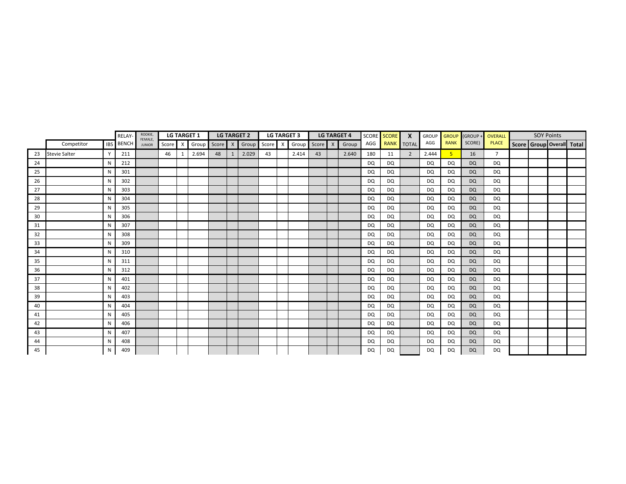|    |                      |            | RELAY-       | ROOKIE,                  |       |          | <b>LG TARGET 1</b> |         |              | <b>LG TARGET 2</b> |         | <b>LG TARGET 3</b> |               | <b>LG TARGET 4</b> |           | SCORE SCORE | $\mathsf{x}$ | <b>GROUP</b> | <b>GROUP</b> | (GROUP -  | OVERALL        | <b>SOY Points</b> |                           |
|----|----------------------|------------|--------------|--------------------------|-------|----------|--------------------|---------|--------------|--------------------|---------|--------------------|---------------|--------------------|-----------|-------------|--------------|--------------|--------------|-----------|----------------|-------------------|---------------------------|
|    | Competitor           | <b>IBS</b> | <b>BENCH</b> | FEMALE,<br><b>JUNIOR</b> | Score | $\times$ | Group              | Score X |              | Group              | Score X |                    | Group Score X | Group              | AGG       | <b>RANK</b> | <b>TOTAL</b> | AGG          | <b>RANK</b>  | SCORE)    | <b>PLACE</b>   |                   | Score Group Overall Total |
| 23 | <b>Stevie Salter</b> | Y          | 211          |                          | 46    | 1        | 2.694              | 48      | $\mathbf{1}$ | 2.029              | 43      | 2.414              | 43            | 2.640              | 180       | 11          | 2            | 2.444        | 5            | 16        | $\overline{7}$ |                   |                           |
| 24 |                      | N          | 212          |                          |       |          |                    |         |              |                    |         |                    |               |                    | DQ        | DQ          |              | DQ           | DQ           | <b>DQ</b> | DQ             |                   |                           |
| 25 |                      | N          | 301          |                          |       |          |                    |         |              |                    |         |                    |               |                    | <b>DQ</b> | <b>DQ</b>   |              | <b>DQ</b>    | DQ           | <b>DQ</b> | DQ             |                   |                           |
| 26 |                      | N          | 302          |                          |       |          |                    |         |              |                    |         |                    |               |                    | DQ        | DQ          |              | <b>DQ</b>    | DQ           | <b>DQ</b> | DQ             |                   |                           |
| 27 |                      | N          | 303          |                          |       |          |                    |         |              |                    |         |                    |               |                    | <b>DQ</b> | DQ          |              | DQ           | DQ           | <b>DQ</b> | DQ             |                   |                           |
| 28 |                      | N          | 304          |                          |       |          |                    |         |              |                    |         |                    |               |                    | DQ        | DQ          |              | DQ           | DQ           | <b>DQ</b> | DQ             |                   |                           |
| 29 |                      | N          | 305          |                          |       |          |                    |         |              |                    |         |                    |               |                    | <b>DQ</b> | DQ          |              | <b>DQ</b>    | DQ           | <b>DQ</b> | DQ             |                   |                           |
| 30 |                      | N          | 306          |                          |       |          |                    |         |              |                    |         |                    |               |                    | <b>DQ</b> | DQ          |              | DQ           | DQ           | <b>DQ</b> | DQ             |                   |                           |
| 31 |                      | N          | 307          |                          |       |          |                    |         |              |                    |         |                    |               |                    | <b>DQ</b> | <b>DQ</b>   |              | <b>DQ</b>    | DQ           | <b>DQ</b> | DQ             |                   |                           |
| 32 |                      | N          | 308          |                          |       |          |                    |         |              |                    |         |                    |               |                    | DQ        | DQ          |              | <b>DQ</b>    | DQ           | <b>DQ</b> | DQ             |                   |                           |
| 33 |                      | N          | 309          |                          |       |          |                    |         |              |                    |         |                    |               |                    | <b>DQ</b> | <b>DQ</b>   |              | <b>DQ</b>    | DQ           | <b>DQ</b> | DQ             |                   |                           |
| 34 |                      | N          | 310          |                          |       |          |                    |         |              |                    |         |                    |               |                    | <b>DQ</b> | <b>DQ</b>   |              | <b>DQ</b>    | DQ           | <b>DQ</b> | DQ             |                   |                           |
| 35 |                      | N          | 311          |                          |       |          |                    |         |              |                    |         |                    |               |                    | <b>DQ</b> | <b>DQ</b>   |              | <b>DQ</b>    | DQ           | <b>DQ</b> | <b>DQ</b>      |                   |                           |
| 36 |                      | N          | 312          |                          |       |          |                    |         |              |                    |         |                    |               |                    | DQ        | DQ          |              | DQ           | DQ           | <b>DQ</b> | DQ             |                   |                           |
| 37 |                      | N          | 401          |                          |       |          |                    |         |              |                    |         |                    |               |                    | <b>DQ</b> | <b>DQ</b>   |              | <b>DQ</b>    | DQ           | <b>DQ</b> | DQ             |                   |                           |
| 38 |                      | N          | 402          |                          |       |          |                    |         |              |                    |         |                    |               |                    | <b>DQ</b> | DQ          |              | DQ           | DQ           | <b>DQ</b> | DQ             |                   |                           |
| 39 |                      | N          | 403          |                          |       |          |                    |         |              |                    |         |                    |               |                    | <b>DQ</b> | DQ          |              | <b>DQ</b>    | DQ           | <b>DQ</b> | DQ             |                   |                           |
| 40 |                      | N          | 404          |                          |       |          |                    |         |              |                    |         |                    |               |                    | <b>DQ</b> | DQ          |              | DQ           | DQ           | <b>DQ</b> | DQ             |                   |                           |
| 41 |                      | N          | 405          |                          |       |          |                    |         |              |                    |         |                    |               |                    | <b>DQ</b> | DQ          |              | <b>DQ</b>    | DQ           | <b>DQ</b> | DQ             |                   |                           |
| 42 |                      | N          | 406          |                          |       |          |                    |         |              |                    |         |                    |               |                    | DQ        | DQ          |              | DQ           | DQ           | <b>DQ</b> | DQ             |                   |                           |
| 43 |                      | N          | 407          |                          |       |          |                    |         |              |                    |         |                    |               |                    | <b>DQ</b> | DQ          |              | DQ           | DQ           | <b>DQ</b> | DQ             |                   |                           |
| 44 |                      | N          | 408          |                          |       |          |                    |         |              |                    |         |                    |               |                    | <b>DQ</b> | <b>DQ</b>   |              | <b>DQ</b>    | DQ           | <b>DQ</b> | DQ             |                   |                           |
| 45 |                      | N          | 409          |                          |       |          |                    |         |              |                    |         |                    |               |                    | <b>DQ</b> | <b>DQ</b>   |              | <b>DQ</b>    | DQ           | <b>DQ</b> | <b>DQ</b>      |                   |                           |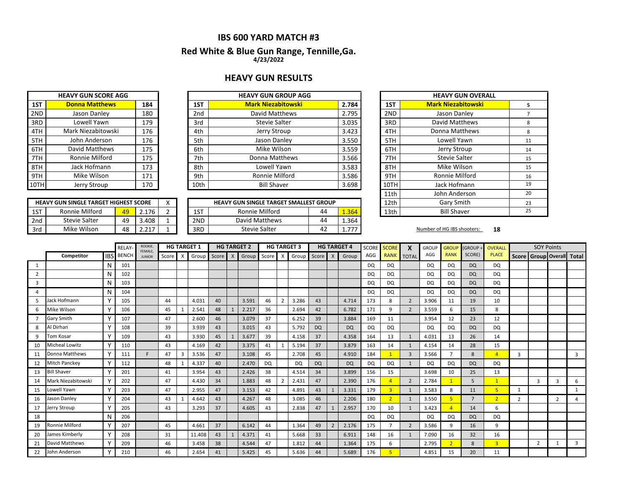# **IBS 600 YARD MATCH #3**

### **Red White & Blue Gun Range, Tennille,Ga. 4/23/2022**

# **HEAVY GUN RESULTS**

|      | <b>HEAVY GUN SCORE AGG</b> |     |
|------|----------------------------|-----|
| 1ST  | <b>Donna Matthews</b>      | 184 |
| 2ND  | Jason Danley               | 180 |
| 3RD  | Lowell Yawn                | 179 |
| 4TH  | Mark Niezabitowski         | 176 |
| 5TH  | John Anderson              | 176 |
| 6TH  | David Matthews             | 175 |
| 7TH  | Ronnie Milford             | 175 |
| 8TH  | Jack Hofmann               | 173 |
| 9TH  | Mike Wilson                | 171 |
| 10TH | <b>Jerry Stroup</b>        | 170 |

| 1ST  | <b>Donna Matthews</b> | 184 | 1ST             | <b>Mark Niezabitowski</b> | 2.784 | 1ST  |
|------|-----------------------|-----|-----------------|---------------------------|-------|------|
| 2ND  | Jason Danley          | 180 | 2 <sub>nd</sub> | David Matthews            | 2.795 | 2ND  |
| 3RD  | Lowell Yawn           | 179 | 3rd             | <b>Stevie Salter</b>      | 3.035 | 3RD  |
| 4TH  | Mark Niezabitowski    | 176 | 4th             | Jerry Stroup              | 3.423 | 4TH  |
| 5TH  | John Anderson         | 176 | 5th             | Jason Danley              | 3.550 | 5TH  |
| 6TH  | David Matthews        | 175 | 6th             | Mike Wilson               | 3.559 | 6TH  |
| 7TH  | Ronnie Milford        | 175 | 7th             | Donna Matthews            | 3.566 | 7TH  |
| 8TH  | Jack Hofmann          | 173 | 8th             | Lowell Yawn               | 3.583 | 8TH  |
| 9TH  | Mike Wilson           | 171 | 9th             | Ronnie Milford            | 3.586 | 9TH  |
| 10TH | Jerry Stroup          | 170 | 10th            | <b>Bill Shaver</b>        | 3.698 | 10TH |

|     | <b>HEAVY GUN SINGLE TARGET HIGHEST SCORE</b> |    |       |  |     | <b>HEAVY GUN SINGLE TARGET SMALLEST GROUP</b> |    |          | 12th | Gary Smith                 |    |
|-----|----------------------------------------------|----|-------|--|-----|-----------------------------------------------|----|----------|------|----------------------------|----|
| 1ST | Ronnie Milford                               | 49 | 2.176 |  | 1ST | Ronnie Milford                                | 44 | 1.364'   | 13th | <b>Bill Shaver</b>         |    |
| 2nd | Stevie Salter                                | 49 | 3.408 |  | 2ND | David Matthews                                | 44 | 1.364    |      |                            |    |
| 3rd | Mike Wilson                                  | 48 | 247   |  | 3RD | Stevie Salter                                 | 42 | ラララ<br>. |      | Number of HG IBS shooters: | 18 |

| <b>HEAVY GUN GROUP AGG</b>                                  |  |       |  |      | <b>HEAVY GUN OVERALL</b>  | 5<br>8<br>8<br>11<br>14<br>15<br>15<br>16<br>19 |  |  |  |  |
|-------------------------------------------------------------|--|-------|--|------|---------------------------|-------------------------------------------------|--|--|--|--|
| <b>Mark Niezabitowski</b>                                   |  | 2.784 |  | 1ST  | <b>Mark Niezabitowski</b> |                                                 |  |  |  |  |
| David Matthews                                              |  | 2.795 |  | 2ND  | Jason Danley              |                                                 |  |  |  |  |
| <b>Stevie Salter</b>                                        |  | 3.035 |  | 3RD  | David Matthews            |                                                 |  |  |  |  |
| Jerry Stroup                                                |  | 3.423 |  | 4TH  | Donna Matthews            |                                                 |  |  |  |  |
| Jason Danley                                                |  | 3.550 |  | 5TH  | Lowell Yawn               |                                                 |  |  |  |  |
| Mike Wilson                                                 |  | 3.559 |  | 6TH  | Jerry Stroup              |                                                 |  |  |  |  |
| Donna Matthews                                              |  | 3.566 |  | 7TH  | <b>Stevie Salter</b>      |                                                 |  |  |  |  |
| Lowell Yawn                                                 |  | 3.583 |  | 8TH  | Mike Wilson               |                                                 |  |  |  |  |
| Ronnie Milford                                              |  | 3.586 |  | 9TH  | Ronnie Milford            |                                                 |  |  |  |  |
| <b>Bill Shaver</b>                                          |  | 3.698 |  | 10TH | Jack Hofmann              |                                                 |  |  |  |  |
|                                                             |  |       |  | 11th | John Anderson             | 20                                              |  |  |  |  |
| UN SINGLE TARGET SMALLEST GROUP                             |  |       |  | 12th | Gary Smith                | 23                                              |  |  |  |  |
| <b>Bill Shaver</b><br>Ronnie Milford<br>44<br>13th<br>1.364 |  |       |  |      | 25                        |                                                 |  |  |  |  |

|                |                       |              | <b>RELAY</b> | ROOKIE,<br>FEMALE, |         |   | <b>HG TARGET 1</b> |         | <b>HG TARGET 2</b> |           |              | <b>HG TARGET 3</b> |           |              | <b>HG TARGET 4</b> | SCORE     | <b>SCORE</b>             | X              | <b>GROUP</b> | <b>GROUP</b>   | (GROUP -       | OVERALL        |                                 | <b>SOY Points</b> |                |              |
|----------------|-----------------------|--------------|--------------|--------------------|---------|---|--------------------|---------|--------------------|-----------|--------------|--------------------|-----------|--------------|--------------------|-----------|--------------------------|----------------|--------------|----------------|----------------|----------------|---------------------------------|-------------------|----------------|--------------|
|                | Competitor            | <b>IBS</b>   | <b>BENCH</b> | <b>JUNIOR</b>      | Score X |   | Group              | Score X | Group Score        |           | $\times$     | Group              | Score     | $\mathsf{X}$ | Group              | AGG       | <b>RANK</b>              | <b>TOTAL</b>   | AGG          | <b>RANK</b>    | SCORE)         | <b>PLACE</b>   | Score   Group   Overall   Total |                   |                |              |
| 1              |                       |              | 101          |                    |         |   |                    |         |                    |           |              |                    |           |              |                    | <b>DQ</b> | DQ                       |                | <b>DQ</b>    | <b>DQ</b>      | <b>DQ</b>      | <b>DQ</b>      |                                 |                   |                |              |
| $\overline{2}$ |                       | N            | 102          |                    |         |   |                    |         |                    |           |              |                    |           |              |                    | <b>DQ</b> | <b>DQ</b>                |                | DQ           | <b>DQ</b>      | <b>DQ</b>      | DQ             |                                 |                   |                |              |
| 3              |                       | N            | 103          |                    |         |   |                    |         |                    |           |              |                    |           |              |                    | <b>DQ</b> | <b>DQ</b>                |                | DQ           | DQ             | <b>DQ</b>      | DQ             |                                 |                   |                |              |
| 4              |                       | N            | 104          |                    |         |   |                    |         |                    |           |              |                    |           |              |                    | <b>DQ</b> | DQ                       |                | <b>DQ</b>    | <b>DQ</b>      | <b>DQ</b>      | DQ             |                                 |                   |                |              |
| 5              | Jack Hofmann          |              | 105          |                    | 44      |   | 4.031              | 40      | 3.591              | 46        |              | 3.286              | 43        |              | 4.714              | 173       | 8                        | $\overline{2}$ | 3.906        | 11             | 19             | 10             |                                 |                   |                |              |
| 6              | Mike Wilson           | $\checkmark$ | 106          |                    | 45      |   | 2.541              | 48      | 2.217              | 36        |              | 2.694              | 42        |              | 6.782              | 171       | 9                        | $\overline{2}$ | 3.559        | 6              | 15             | 8              |                                 |                   |                |              |
|                | <b>Gary Smith</b>     |              | 107          |                    | 47      |   | 2.600              | 46      | 3.079              | 37        |              | 6.252              | 39        |              | 3.884              | 169       | 11                       |                | 3.954        | 12             | 23             | 12             |                                 |                   |                |              |
|                | Al Dirhan             |              | 108          |                    | 39      |   | 3.939              | 43      | 3.015              | 43        |              | 5.792              | <b>DQ</b> |              | <b>DQ</b>          | <b>DQ</b> | DQ                       |                | <b>DQ</b>    | <b>DQ</b>      | <b>DQ</b>      | DQ             |                                 |                   |                |              |
| 9              | Tom Kosar             |              | 109          |                    | 43      |   | 3.930              | 45      | 3.677              | 39        |              | 4.158              | 37        |              | 4.358              | 164       | 13                       | $\mathbf{1}$   | 4.031        | 13             | 26             | 14             |                                 |                   |                |              |
| 10             | <b>Micheal Lowitz</b> |              | 110          |                    | 43      |   | 4.169              | 42      | 3.375              | 41        | $\mathbf{1}$ | 5.194              | 37        |              | 3.879              | 163       | 14                       | $\mathbf{1}$   | 4.154        | 14             | 28             | 15             |                                 |                   |                |              |
| 11             | Donna Matthews        | Y            | 111          | F.                 | 47      | 3 | 3.536              | 47      | 3.108              | 45        |              | 2.708              | 45        |              | 4.910              | 184       |                          | $\overline{3}$ | 3.566        |                | 8              | 4              | 3                               |                   |                | 3            |
| 12             | <b>Mitch Panckey</b>  | $\checkmark$ | 112          |                    | 48      |   | 4.337              | 40      | 2.470              | <b>DQ</b> |              | <b>DQ</b>          | <b>DQ</b> |              | <b>DQ</b>          | <b>DQ</b> | <b>DQ</b>                | $\mathbf{1}$   | <b>DQ</b>    | <b>DQ</b>      | <b>DQ</b>      | DQ             |                                 |                   |                |              |
| 13             | <b>Bill Shaver</b>    |              | 201          |                    | 41      |   | 3.954              | 43      | 2.426              | 38        |              | 4.514              | 34        |              | 3.899              | 156       | 15                       |                | 3.698        | 10             | 25             | 13             |                                 |                   |                |              |
| 14             | Mark Niezabitowski    |              | 202          |                    | 47      |   | 4.430              | 34      | 1.883              | 48        |              | 2.431              | 47        |              | 2.390              | 176       |                          | $\overline{2}$ | 2.784        |                | 5              |                |                                 | $\overline{3}$    | 3              | 6            |
| 15             | Lowell Yawn           |              | 203          |                    | 47      |   | 2.955              | 47      | 3.153              | 42        |              | 4.891              | 43        |              | 3.331              | 179       | $\overline{3}$           | $\mathbf{1}$   | 3.583        | 8              | 11             | 5 <sup>1</sup> |                                 |                   |                | $\mathbf{1}$ |
| 16             | Jason Danley          |              | 204          |                    | 43      |   | 4.642              | 43      | 4.267              | 48        |              | 3.085              | 46        |              | 2.206              | 180       | $\overline{2}$           | 1              | 3.550        |                | $\overline{7}$ | 2 <sup>1</sup> | $\overline{2}$                  |                   | $\overline{2}$ | $\Delta$     |
| 17             | Jerry Stroup          |              | 205          |                    | 43      |   | 3.293              | 37      | 4.605              | 43        |              | 2.838              | 47        |              | 2.957              | 170       | 10                       | 1              | 3.423        |                | 14             | 6              |                                 |                   |                |              |
| 18             |                       | N            | 206          |                    |         |   |                    |         |                    |           |              |                    |           |              |                    | <b>DQ</b> | DQ                       |                | <b>DQ</b>    | <b>DQ</b>      | <b>DQ</b>      | DQ             |                                 |                   |                |              |
| 19             | Ronnie Milford        |              | 207          |                    | 45      |   | 4.661              | 37      | 6.142              | 44        |              | 1.364              | 49        |              | 2.176              | 175       |                          | $\overline{2}$ | 3.586        | 9              | 16             | 9              |                                 |                   |                |              |
| 20             | James Kimberly        |              | 208          |                    | 31      |   | 11.408             | 43      | 4.371              | 41        |              | 5.668              | 33        |              | 6.911              | 148       | 16                       | 1              | 7.090        | 16             | 32             | 16             |                                 |                   |                |              |
| 21             | David Matthews        | Y            | 209          |                    | 46      |   | 3.458              | 38      | 4.544              | 47        |              | 1.812              | 44        |              | 1.364              | 175       | 6                        |                | 2.795        | $\overline{2}$ | 8              | $\overline{3}$ |                                 | $\overline{2}$    | 1              | 3            |
| 22             | John Anderson         | Y            | 210          |                    | 46      |   | 2.654              | 41      | 5.425              | 45        |              | 5.636              | 44        |              | 5.689              | 176       | $\overline{\phantom{a}}$ |                | 4.851        | 15             | 20             | 11             |                                 |                   |                |              |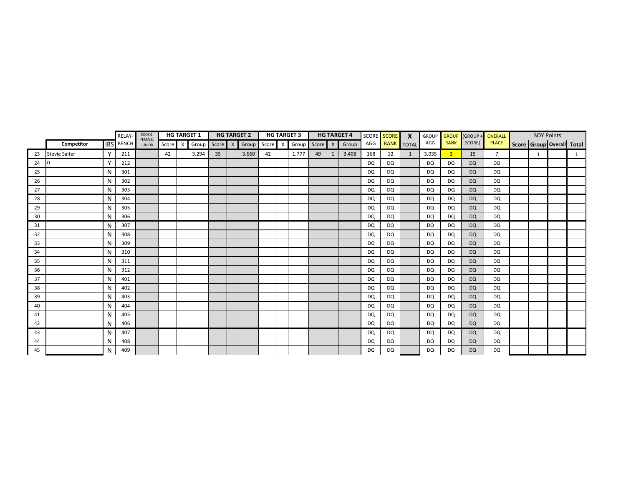|    |                      |              | RELAY-           | ROOKIE,<br>FEMALE, |       |              | <b>HG TARGET 1</b> |         | <b>HG TARGET 2</b> |         | <b>HG TARGET 3</b> |               |    | <b>HG TARGET 4</b> |           | SCORE SCORE | $\boldsymbol{x}$ | <b>GROUP</b> | <b>GROUP</b>   | (GROUP -  | OVERALL        | <b>SOY Points</b> |                           |
|----|----------------------|--------------|------------------|--------------------|-------|--------------|--------------------|---------|--------------------|---------|--------------------|---------------|----|--------------------|-----------|-------------|------------------|--------------|----------------|-----------|----------------|-------------------|---------------------------|
|    | Competitor           |              | <b>IBS</b> BENCH | <b>JUNIOR</b>      | Score | $\mathsf{X}$ | Group              | Score X | Group              | Score X |                    | Group Score X |    | Group              | AGG       | <b>RANK</b> | <b>TOTAL</b>     | AGG          | <b>RANK</b>    | SCORE)    | <b>PLACE</b>   |                   | Score Group Overall Total |
| 23 | <b>Stevie Salter</b> | $\mathsf{v}$ | 211              |                    | 42    |              | 3.294              | 35      | 3.660              | 42      | 1.777              | 49            | -1 | 3.408              | 168       | 12          | 1                | 3.035        | $\overline{3}$ | 15        | $\overline{7}$ | 1                 | 1                         |
| 24 |                      | $\mathsf{v}$ | 212              |                    |       |              |                    |         |                    |         |                    |               |    |                    | DQ        | DQ          |                  | DQ           | DQ             | <b>DQ</b> | DQ             |                   |                           |
| 25 |                      | N            | 301              |                    |       |              |                    |         |                    |         |                    |               |    |                    | <b>DQ</b> | <b>DQ</b>   |                  | <b>DQ</b>    | DQ             | <b>DQ</b> | DQ             |                   |                           |
| 26 |                      | N            | 302              |                    |       |              |                    |         |                    |         |                    |               |    |                    | DQ        | DQ          |                  | <b>DQ</b>    | DQ             | <b>DQ</b> | DQ             |                   |                           |
| 27 |                      | N            | 303              |                    |       |              |                    |         |                    |         |                    |               |    |                    | DQ        | DQ          |                  | DQ           | DQ             | <b>DQ</b> | DQ             |                   |                           |
| 28 |                      | N            | 304              |                    |       |              |                    |         |                    |         |                    |               |    |                    | DQ        | DQ          |                  | DQ           | DQ             | <b>DQ</b> | DQ             |                   |                           |
| 29 |                      | N            | 305              |                    |       |              |                    |         |                    |         |                    |               |    |                    | <b>DQ</b> | DQ          |                  | <b>DQ</b>    | DQ             | <b>DQ</b> | DQ             |                   |                           |
| 30 |                      | N            | 306              |                    |       |              |                    |         |                    |         |                    |               |    |                    | <b>DQ</b> | DQ          |                  | DQ           | DQ             | <b>DQ</b> | DQ             |                   |                           |
| 31 |                      | N            | 307              |                    |       |              |                    |         |                    |         |                    |               |    |                    | <b>DQ</b> | <b>DQ</b>   |                  | <b>DQ</b>    | DQ             | <b>DQ</b> | <b>DQ</b>      |                   |                           |
| 32 |                      | N            | 308              |                    |       |              |                    |         |                    |         |                    |               |    |                    | DQ        | DQ          |                  | <b>DQ</b>    | DQ             | <b>DQ</b> | DQ             |                   |                           |
| 33 |                      | N            | 309              |                    |       |              |                    |         |                    |         |                    |               |    |                    | <b>DQ</b> | <b>DQ</b>   |                  | <b>DQ</b>    | DQ             | <b>DQ</b> | DQ             |                   |                           |
| 34 |                      | N            | 310              |                    |       |              |                    |         |                    |         |                    |               |    |                    | <b>DQ</b> | <b>DQ</b>   |                  | <b>DQ</b>    | DQ             | <b>DQ</b> | DQ             |                   |                           |
| 35 |                      | N            | 311              |                    |       |              |                    |         |                    |         |                    |               |    |                    | <b>DQ</b> | <b>DQ</b>   |                  | <b>DQ</b>    | DQ             | <b>DQ</b> | <b>DQ</b>      |                   |                           |
| 36 |                      | N            | 312              |                    |       |              |                    |         |                    |         |                    |               |    |                    | <b>DQ</b> | DQ          |                  | DQ           | DQ             | <b>DQ</b> | DQ             |                   |                           |
| 37 |                      | N            | 401              |                    |       |              |                    |         |                    |         |                    |               |    |                    | <b>DQ</b> | <b>DQ</b>   |                  | <b>DQ</b>    | DQ             | <b>DQ</b> | DQ             |                   |                           |
| 38 |                      | N            | 402              |                    |       |              |                    |         |                    |         |                    |               |    |                    | <b>DQ</b> | DQ          |                  | DQ           | DQ             | <b>DQ</b> | DQ             |                   |                           |
| 39 |                      | N            | 403              |                    |       |              |                    |         |                    |         |                    |               |    |                    | <b>DQ</b> | DQ          |                  | <b>DQ</b>    | DQ             | <b>DQ</b> | DQ             |                   |                           |
| 40 |                      | N            | 404              |                    |       |              |                    |         |                    |         |                    |               |    |                    | <b>DQ</b> | DQ          |                  | DQ           | DQ             | <b>DQ</b> | DQ             |                   |                           |
| 41 |                      | N            | 405              |                    |       |              |                    |         |                    |         |                    |               |    |                    | <b>DQ</b> | DQ          |                  | DQ           | DQ             | <b>DQ</b> | DQ             |                   |                           |
| 42 |                      | N            | 406              |                    |       |              |                    |         |                    |         |                    |               |    |                    | DQ        | DQ          |                  | DQ           | DQ             | <b>DQ</b> | DQ             |                   |                           |
| 43 |                      | N            | 407              |                    |       |              |                    |         |                    |         |                    |               |    |                    | <b>DQ</b> | DQ          |                  | DQ           | DQ             | <b>DQ</b> | DQ             |                   |                           |
| 44 |                      | N            | 408              |                    |       |              |                    |         |                    |         |                    |               |    |                    | <b>DQ</b> | <b>DQ</b>   |                  | <b>DQ</b>    | DQ             | <b>DQ</b> | DQ             |                   |                           |
| 45 |                      | N            | 409              |                    |       |              |                    |         |                    |         |                    |               |    |                    | <b>DQ</b> | <b>DQ</b>   |                  | <b>DQ</b>    | DQ             | <b>DQ</b> | <b>DQ</b>      |                   |                           |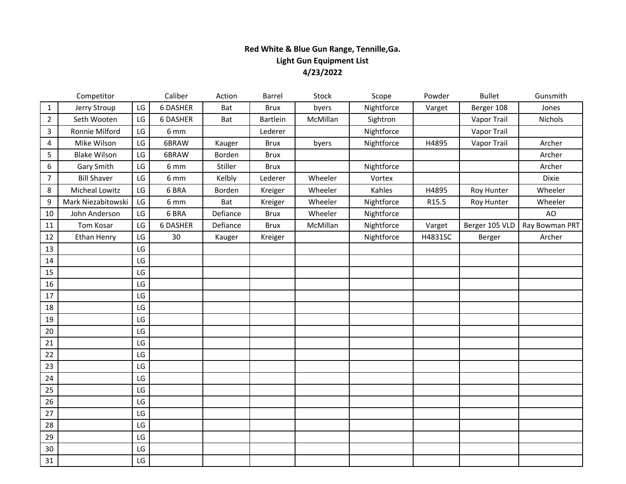# **Red White & Blue Gun Range, Tennille,Ga. Light Gun Equipment List 4/23/2022**

|                | Competitor          |                        | Caliber          | Action   | Barrel          | Stock    | Scope      | Powder  | <b>Bullet</b>  | Gunsmith       |
|----------------|---------------------|------------------------|------------------|----------|-----------------|----------|------------|---------|----------------|----------------|
| $\mathbf 1$    | Jerry Stroup        | LG                     | 6 DASHER         | Bat      | <b>Brux</b>     | byers    | Nightforce | Varget  | Berger 108     | Jones          |
| $\overline{2}$ | Seth Wooten         | LG                     | 6 DASHER         | Bat      | <b>Bartlein</b> | McMillan | Sightron   |         | Vapor Trail    | Nichols        |
| 3              | Ronnie Milford      | LG                     | 6 mm             |          | Lederer         |          | Nightforce |         | Vapor Trail    |                |
| 4              | Mike Wilson         | LG                     | 6BRAW            | Kauger   | <b>Brux</b>     | byers    | Nightforce | H4895   | Vapor Trail    | Archer         |
| 5              | <b>Blake Wilson</b> | LG                     | 6BRAW            | Borden   | <b>Brux</b>     |          |            |         |                | Archer         |
| 6              | Gary Smith          | $\mathsf{L}\mathsf{G}$ | 6 mm             | Stiller  | <b>Brux</b>     |          | Nightforce |         |                | Archer         |
| $\overline{7}$ | <b>Bill Shaver</b>  | LG                     | $6 \, \text{mm}$ | Kelbly   | Lederer         | Wheeler  | Vortex     |         |                | Dixie          |
| 8              | Micheal Lowitz      | LG                     | 6 BRA            | Borden   | Kreiger         | Wheeler  | Kahles     | H4895   | Roy Hunter     | Wheeler        |
| 9              | Mark Niezabitowski  | LG                     | 6 mm             | Bat      | Kreiger         | Wheeler  | Nightforce | R15.5   | Roy Hunter     | Wheeler        |
| 10             | John Anderson       | LG                     | 6 BRA            | Defiance | <b>Brux</b>     | Wheeler  | Nightforce |         |                | AO             |
| 11             | Tom Kosar           | LG                     | <b>6 DASHER</b>  | Defiance | <b>Brux</b>     | McMillan | Nightforce | Varget  | Berger 105 VLD | Ray Bowman PRT |
| 12             | Ethan Henry         | LG                     | 30               | Kauger   | Kreiger         |          | Nightforce | H4831SC | Berger         | Archer         |
| 13             |                     | LG                     |                  |          |                 |          |            |         |                |                |
| 14             |                     | LG                     |                  |          |                 |          |            |         |                |                |
| 15             |                     | LG                     |                  |          |                 |          |            |         |                |                |
| 16             |                     | LG                     |                  |          |                 |          |            |         |                |                |
| 17             |                     | LG                     |                  |          |                 |          |            |         |                |                |
| 18             |                     | LG                     |                  |          |                 |          |            |         |                |                |
| 19             |                     | LG                     |                  |          |                 |          |            |         |                |                |
| 20             |                     | LG                     |                  |          |                 |          |            |         |                |                |
| 21             |                     | LG                     |                  |          |                 |          |            |         |                |                |
| 22             |                     | LG                     |                  |          |                 |          |            |         |                |                |
| 23             |                     | LG                     |                  |          |                 |          |            |         |                |                |
| 24             |                     | LG                     |                  |          |                 |          |            |         |                |                |
| 25             |                     | LG                     |                  |          |                 |          |            |         |                |                |
| 26             |                     | LG                     |                  |          |                 |          |            |         |                |                |
| 27             |                     | LG                     |                  |          |                 |          |            |         |                |                |
| 28             |                     | LG                     |                  |          |                 |          |            |         |                |                |
| 29             |                     | LG                     |                  |          |                 |          |            |         |                |                |
| 30             |                     | $\mathsf{L}\mathsf{G}$ |                  |          |                 |          |            |         |                |                |
| 31             |                     | $\mathsf{L}\mathsf{G}$ |                  |          |                 |          |            |         |                |                |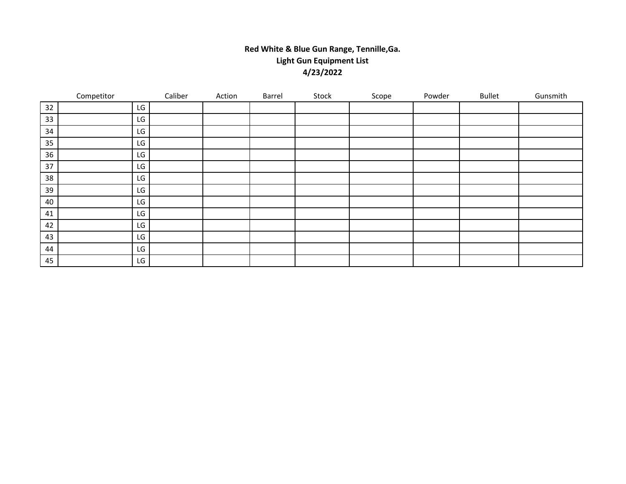# **Red White & Blue Gun Range, Tennille,Ga. Light Gun Equipment List 4/23/2022**

|    | Competitor |    | Caliber | Action | Barrel | Stock | Scope | Powder | <b>Bullet</b> | Gunsmith |
|----|------------|----|---------|--------|--------|-------|-------|--------|---------------|----------|
| 32 |            | LG |         |        |        |       |       |        |               |          |
| 33 |            | LG |         |        |        |       |       |        |               |          |
| 34 |            | LG |         |        |        |       |       |        |               |          |
| 35 |            | LG |         |        |        |       |       |        |               |          |
| 36 |            | LG |         |        |        |       |       |        |               |          |
| 37 |            | LG |         |        |        |       |       |        |               |          |
| 38 |            | LG |         |        |        |       |       |        |               |          |
| 39 |            | LG |         |        |        |       |       |        |               |          |
| 40 |            | LG |         |        |        |       |       |        |               |          |
| 41 |            | LG |         |        |        |       |       |        |               |          |
| 42 |            | LG |         |        |        |       |       |        |               |          |
| 43 |            | LG |         |        |        |       |       |        |               |          |
| 44 |            | LG |         |        |        |       |       |        |               |          |
| 45 |            | LG |         |        |        |       |       |        |               |          |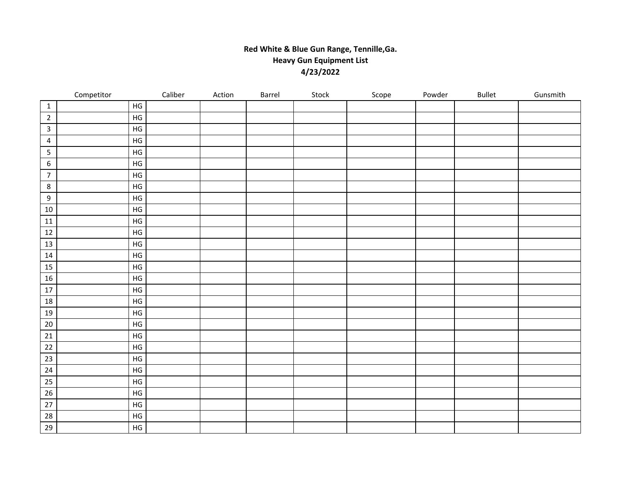# **Red White & Blue Gun Range, Tennille,Ga. Heavy Gun Equipment List 4/23/2022**

|                  | Competitor |               | Caliber | Action | Barrel | Stock | Scope | Powder | Bullet | Gunsmith |
|------------------|------------|---------------|---------|--------|--------|-------|-------|--------|--------|----------|
| $\mathbf{1}$     |            | $\mathsf{HG}$ |         |        |        |       |       |        |        |          |
| $\overline{2}$   |            | $\mathsf{HG}$ |         |        |        |       |       |        |        |          |
| $\mathbf{3}$     |            | $\mathsf{HG}$ |         |        |        |       |       |        |        |          |
| 4                |            | HG            |         |        |        |       |       |        |        |          |
| 5                |            | $\mathsf{HG}$ |         |        |        |       |       |        |        |          |
| 6                |            | HG            |         |        |        |       |       |        |        |          |
| $\overline{7}$   |            | $\mathsf{HG}$ |         |        |        |       |       |        |        |          |
| 8                |            | HG            |         |        |        |       |       |        |        |          |
| $\boldsymbol{9}$ |            | $\mathsf{HG}$ |         |        |        |       |       |        |        |          |
| $10\,$           |            | HG            |         |        |        |       |       |        |        |          |
| $11\,$           |            | $\mathsf{HG}$ |         |        |        |       |       |        |        |          |
| $12\,$           |            | HG            |         |        |        |       |       |        |        |          |
| 13               |            | $\mathsf{HG}$ |         |        |        |       |       |        |        |          |
| $14\,$           |            | $\mathsf{HG}$ |         |        |        |       |       |        |        |          |
| 15               |            | $\mathsf{HG}$ |         |        |        |       |       |        |        |          |
| 16               |            | $\mathsf{HG}$ |         |        |        |       |       |        |        |          |
| $17\,$           |            | $\mathsf{HG}$ |         |        |        |       |       |        |        |          |
| $18\,$           |            | $\mathsf{HG}$ |         |        |        |       |       |        |        |          |
| $19\,$           |            | $\mathsf{HG}$ |         |        |        |       |       |        |        |          |
| $20\,$           |            | $\mathsf{HG}$ |         |        |        |       |       |        |        |          |
| $21\,$           |            | $\mathsf{HG}$ |         |        |        |       |       |        |        |          |
| 22               |            | $\mathsf{HG}$ |         |        |        |       |       |        |        |          |
| 23               |            | $\mathsf{HG}$ |         |        |        |       |       |        |        |          |
| 24               |            | $\mathsf{HG}$ |         |        |        |       |       |        |        |          |
| 25               |            | $\mathsf{HG}$ |         |        |        |       |       |        |        |          |
| 26               |            | $\mathsf{HG}$ |         |        |        |       |       |        |        |          |
| $27\,$           |            | $\mathsf{HG}$ |         |        |        |       |       |        |        |          |
| 28               |            | $\mathsf{HG}$ |         |        |        |       |       |        |        |          |
| 29               |            | $\mathsf{HG}$ |         |        |        |       |       |        |        |          |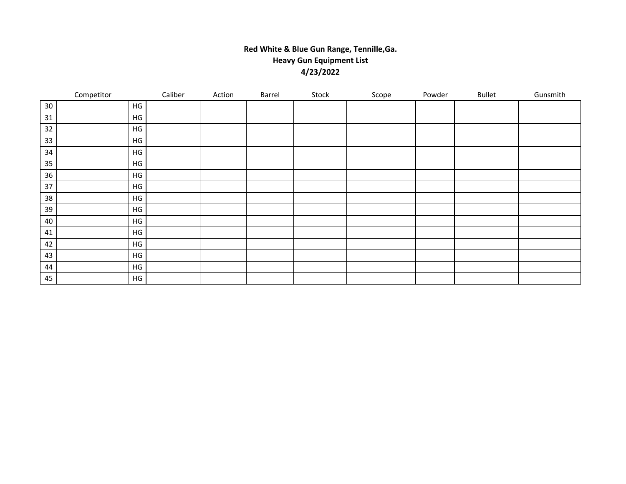# **Red White & Blue Gun Range, Tennille,Ga. Heavy Gun Equipment List 4/23/2022**

|    | Competitor    | Caliber | Action | Barrel | Stock | Scope | Powder | <b>Bullet</b> | Gunsmith |
|----|---------------|---------|--------|--------|-------|-------|--------|---------------|----------|
| 30 | HG            |         |        |        |       |       |        |               |          |
| 31 | HG            |         |        |        |       |       |        |               |          |
| 32 | HG            |         |        |        |       |       |        |               |          |
| 33 | HG            |         |        |        |       |       |        |               |          |
| 34 | HG            |         |        |        |       |       |        |               |          |
| 35 | HG            |         |        |        |       |       |        |               |          |
| 36 | HG            |         |        |        |       |       |        |               |          |
| 37 | $\mathsf{HG}$ |         |        |        |       |       |        |               |          |
| 38 | HG            |         |        |        |       |       |        |               |          |
| 39 | HG            |         |        |        |       |       |        |               |          |
| 40 | HG            |         |        |        |       |       |        |               |          |
| 41 | HG            |         |        |        |       |       |        |               |          |
| 42 | $\mathsf{HG}$ |         |        |        |       |       |        |               |          |
| 43 | HG            |         |        |        |       |       |        |               |          |
| 44 | HG            |         |        |        |       |       |        |               |          |
| 45 | HG            |         |        |        |       |       |        |               |          |